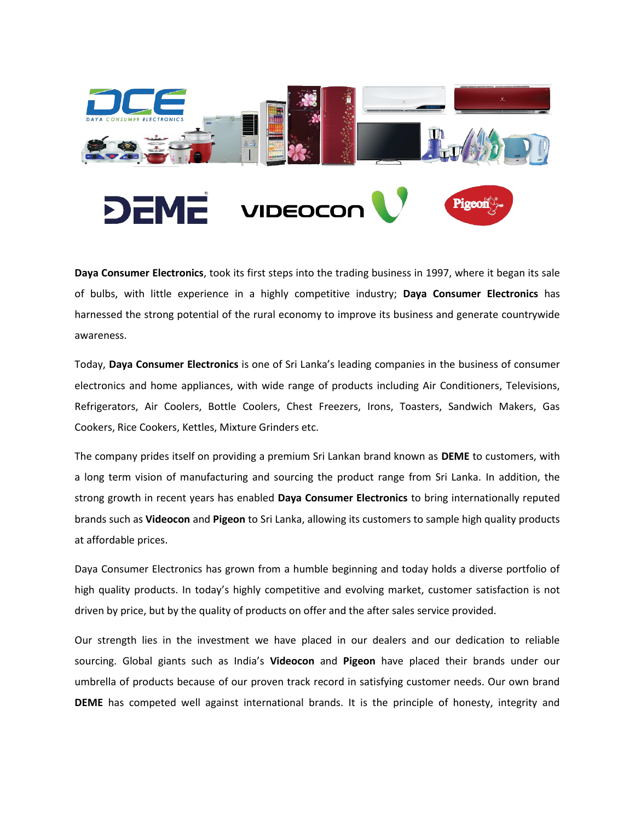

**Daya Consumer Electronics**, took its first steps into the trading business in 1997, where it began its sale of bulbs, with little experience in a highly competitive industry; **Daya Consumer Electronics** has harnessed the strong potential of the rural economy to improve its business and generate countrywide awareness.

Today, **Daya Consumer Electronics** is one of Sri Lanka's leading companies in the business of consumer electronics and home appliances, with wide range of products including Air Conditioners, Televisions, Refrigerators, Air Coolers, Bottle Coolers, Chest Freezers, Irons, Toasters, Sandwich Makers, Gas Cookers, Rice Cookers, Kettles, Mixture Grinders etc.

The company prides itself on providing a premium Sri Lankan brand known as **DEME** to customers, with a long term vision of manufacturing and sourcing the product range from Sri Lanka. In addition, the strong growth in recent years has enabled **Daya Consumer Electronics** to bring internationally reputed brands such as **Videocon** and **Pigeon** to Sri Lanka, allowing its customers to sample high quality products at affordable prices.

Daya Consumer Electronics has grown from a humble beginning and today holds a diverse portfolio of high quality products. In today's highly competitive and evolving market, customer satisfaction is not driven by price, but by the quality of products on offer and the after sales service provided.

Our strength lies in the investment we have placed in our dealers and our dedication to reliable sourcing. Global giants such as India's **Videocon** and **Pigeon** have placed their brands under our umbrella of products because of our proven track record in satisfying customer needs. Our own brand **DEME** has competed well against international brands. It is the principle of honesty, integrity and